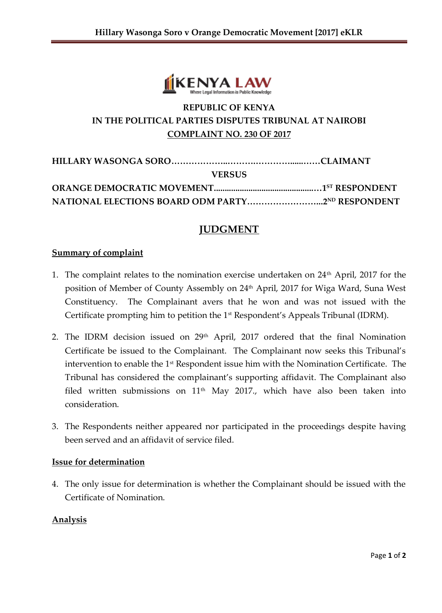

# **REPUBLIC OF KENYA IN THE POLITICAL PARTIES DISPUTES TRIBUNAL AT NAIROBI COMPLAINT NO. 230 OF 2017**

| <b>VERSUS</b>                                           |  |
|---------------------------------------------------------|--|
|                                                         |  |
| <b>NATIONAL ELECTIONS BOARD ODM PARTY2ND RESPONDENT</b> |  |

# **JUDGMENT**

#### **Summary of complaint**

- 1. The complaint relates to the nomination exercise undertaken on  $24<sup>th</sup>$  April, 2017 for the position of Member of County Assembly on 24<sup>th</sup> April, 2017 for Wiga Ward, Suna West Constituency. The Complainant avers that he won and was not issued with the Certificate prompting him to petition the 1<sup>st</sup> Respondent's Appeals Tribunal (IDRM).
- 2. The IDRM decision issued on 29<sup>th</sup> April, 2017 ordered that the final Nomination Certificate be issued to the Complainant. The Complainant now seeks this Tribunal's intervention to enable the 1<sup>st</sup> Respondent issue him with the Nomination Certificate. The Tribunal has considered the complainant's supporting affidavit. The Complainant also filed written submissions on  $11<sup>th</sup>$  May 2017., which have also been taken into consideration.
- 3. The Respondents neither appeared nor participated in the proceedings despite having been served and an affidavit of service filed.

#### **Issue for determination**

4. The only issue for determination is whether the Complainant should be issued with the Certificate of Nomination.

### **Analysis**